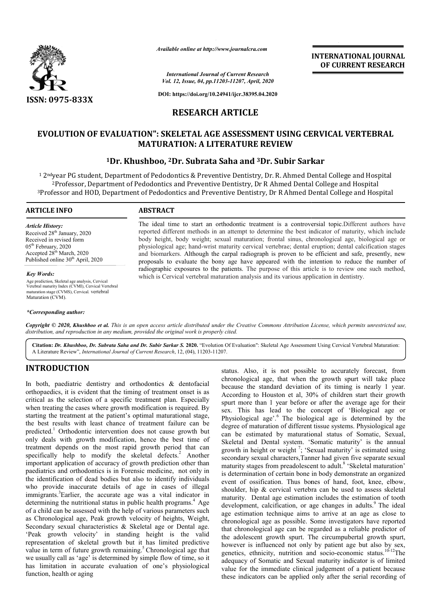

*Available online at http://www.journalcra.com*

*International Journal of Current Research Vol. 12, Issue, 04, pp.11203-11207, April, 2020*

**DOI: https://doi.org/10.24941/ijcr.38395.04.2020**

# **RESEARCH ARTICLE**

## **EVOLUTION OF EVALUATION": SKELETAL AGE ASSESSMENT USING CERVICAL VERTEBRAL MATURATION: A LITERATURE REVIEW**

# <sup>1</sup>Dr. Khushboo, <sup>2</sup>Dr. Subrata Saha and <sup>3</sup>Dr. Subir Sarkar

 $^{\rm 1}$  2 $^{\rm nd}$ year PG student, Department of Pedodontics & Preventive Dentistry, Dr. R. Ahmed Dental College and Hospital year PG student, Department of Pedodontics & Preventive Dentistry, Dr. R. Ahmed Dental College and Hos<br><sup>2</sup>Professor, Department of Pedodontics and Preventive Dentistry, Dr R Ahmed Dental College and Hospital  $^3$ Professor and HOD, Department of Pedodontics and Preventive Dentistry, Dr R Ahmed Dental College and Hospital

### **ARTICLE INFO ABSTRACT**

*Article History:* Received 28<sup>th</sup> January, 2020 Received in revised form 05<sup>th</sup> February, 2020 Accepted 28th March, 2020 Published online 30<sup>th</sup> April, 2020

*Key Words:*

Age prediction, Skeletal age analysis, Cervical Vetebral maturity Index (CVMI), Cervical Vertebral maturation stage (CVMS), Cervical. vertebral Maturation (CVM).

#### *\*Corresponding author:*

The ideal time to start an orthodontic treatment is a controversial topic. Different authors have reported different methods in an attempt to determine the best indicator of maturity, which include body height, body weight; sexual maturation; frontal sinus, chronological age, biological age or physiological age; hand-wrist maturity cervical vertebrae; dental eruption; dental calcification stages and biomarkers. Although the carpal radiograph is proven to be efficient and safe, presently, new proposals to evaluate the bony age have appeared with the intention to reduce the number of radiographic exposures to the patients. The purpose of this article which is Cervical vertebral maturation analysis and its various application in dentistry. reported different methods in an attempt to determine the best indicator of maturity, which include body height, body weight; sexual maturation; frontal sinus, chronological age, biological age or physiological age; hand-w

**INTERNATIONAL JOURNAL OF CURRENT RESEARCH**

Copyright © 2020, Khushboo et al. This is an open access article distributed under the Creative Commons Attribution License, which permits unrestricted use, *distribution, and reproduction in any medium, provided the original work is properly cited.*

Citation: Dr. Khushboo, Dr. Subrata Saha and Dr. Subir Sarkar S. 2020. "Evolution Of Evaluation": Skeletal Age Assessment Using Cervical Vertebral Maturation: A Literature Review", *International Journal of Current Research* , 12, (04), 11203-11207.

# **INTRODUCTION**

In both, paediatric dentistry and orthodontics & dentofacial orthopaedics, it is evident that the timing of treatment onset is as critical as the selection of a specific treatment plan. Especially when treating the cases where growth modification is required. By starting the treatment at the patient's optimal matura maturational stage, the best results with least chance of treatment failure can be predicted.<sup>1</sup> Orthodontic intervention does not cause growth but only deals with growth modification, hence the best time of treatment depends on the most rapid growth period that can specifically help to modify the skeletal defects.<sup>2</sup> Another important application of accuracy of growth prediction other than paediatrics and orthodontics is in Forensic medicine, not only in the identification of dead bodies but also to identify individuals who provide inaccurate details of age in cases of illegal immigrants.<sup>3</sup>Earlier, the accurate age was a vital indicator in determining the nutritional status in public health programs.<sup>4</sup> Age of a child can be assessed with the help of various parameters such as Chronological age, Peak growth velocity of heights, Weight, Secondary sexual characteristics & Skeletal age or Dental age. 'Peak growth velocity' in standing height is the valid representation of skeletal growth but it has limited predictive value in term of future growth remaining.<sup>5</sup> Chronological age that we usually call as 'age' is determined by simple flow of time, so it has limitation in accurate evaluation of one's physiological function, health or aging

status. Also, it is not possible to accurately forecast, from chronological age, that when the growth spurt will take place because the standard deviation of its timing is nearly 1 year. According to Houston et al, 30% of children start their growth spurt more than 1 year before or after the average age for their sex. This has lead to the concept of 'Biological age or Physiological age'.<sup>6</sup> The biological age is determined by the degree of maturation of different tissue systems. Physiological age can be estimated by maturational status of Somatic, Sexual, Skeletal and Dental system. 'Somatic maturity' is the annual growth in height or weight<sup>7</sup>; 'Sexual maturity' is estimated using secondary sexual characters,Tanner had given five separate sexual maturity stages from preadolescent to adult.<sup>8</sup> 'Skeletal maturation' is determination of certain bone in body demonstrate an organized event of ossification. Thus bones of hand, foot, knee, elbow, shoulder, hip & cervical vertebra can be used to assess skeletal is determination of certain bone in body demonstrate an organized<br>event of ossification. Thus bones of hand, foot, knee, elbow,<br>shoulder, hip & cervical vertebra can be used to assess skeletal<br>maturity. Dental age estimati development, calcification, or age changes in adults.<sup>9</sup> The ideal age estimation technique aims to arrive at an age as close to chronological age as possible. Some investigators have reported age estimation technique aims to arrive at an age as close to chronological age as possible. Some investigators have reported that chronological age can be regarded as a reliable predictor of the adolescent growth spurt. The circumpubertal growth spurt, however is influenced not only by patient age but also by sex, the adolescent growth spurt. The circumpubertal growth spurt, however is influenced not only by patient age but also by sex, genetics, ethnicity, nutrition and socio-economic status.<sup>10-12</sup>The adequacy of Somatic and Sexual maturity indicator is of limited value for the immediate clinical judgement of a patient because these indicators can be applied only after the serial recording of chronological age, that when the growth spurt will take place<br>because the standard deviation of its timing is nearly 1 year.<br>According to Houston et al, 30% of children start their growth<br>spurt more than 1 year before or a sex. This has lead to the concept of 'Biological age or Physiological age'.<sup>6</sup> The biological age is determined by the degree of maturation of different tissue systems. Physiological age can be estimated by maturational st Skeletal and Dental system. 'Somatic maturity' is the annual growth in height or weight<sup>7</sup>; 'Sexual maturity' is estimated using secondary sexual characters, Tanner had given five separate sexual maturity stages from prea INTERNATIONAL JOURNAL<br>
FORCE TRENCHATION CONSUMPANE CONSUMPANE CONSUMPANE CONSUMPANE CONSUMPANE CONSUMPANE CONSUMPANE (SPRET)<br>
THE SPRET USING CERVICAL VERTEBRAL ERRENCHATION (SPRET) AND A AND THE STREET THE SPRET OF A Alm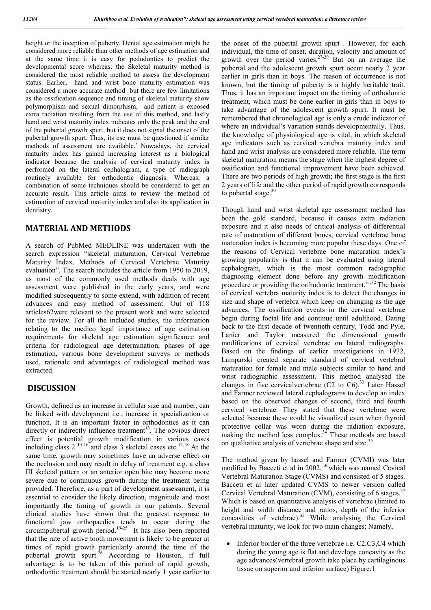height or the inception of puberty. Dental age estimation might be considered more reliable than other methods of age estimation and at the same time it is easy for pedodontics to predict the developmental score whereas; the Skeletal maturity method is considered the most reliable method to assess the development status. Earlier, hand and wrist bone maturity estimation was considered a more accurate method but there are few limitations as the ossification sequence and timing of skeletal maturity show polymorphism and sexual dimorphism, and patient is exposed extra radiation resulting from the use of this method, and lastly hand and wrist maturity index indicates only the peak and the end of the pubertal growth spurt, but it does not signal the onset of the pubertal growth spurt. Thus, its use must be questioned if similar methods of assessment are available.<sup>8</sup> Nowadays, the cervical maturity index has gained increasing interest as a biological indicator because the analysis of cervical maturity index is performed on the lateral cephalogram, a type of radiograph routinely available for orthodontic diagnosis. Whereas; a combination of some techniques should be considered to get an accurate result. This article aims to review the method of estimation of cervical maturity index and also its application in dentistry.

## **MATERIAL AND METHODS**

A search of PubMed MEDLINE was undertaken with the search expression "skeletal maturation, Cervical Vertebrae Maturity Index, Methods of Cervical Vertebrae Maturity evaluation". The search includes the article from 1950 to 2019, as most of the commonly used methods deals with age assessment were published in the early years, and were modified subsequently to some extend, with addition of recent advances and easy method of assessment. Out of 118 articles62were relevant to the present work and were selected for the review. For all the included studies, the information relating to the medico legal importance of age estimation requirements for skeletal age estimation significance and criteria for radiological age determination, phases of age estimation, various bone development surveys or methods used, rationale and advantages of radiological method was extracted.

## **DISCUSSION**

Growth, defined as an increase in cellular size and number, can be linked with development i.e., increase in specialization or function. It is an important factor in orthodontics as it can directly or indirectly influence treatment<sup>13</sup>. The obvious direct effect is potential growth modification in various cases including class 2  $14-16$  and class 3 skeletal cases etc.<sup>17,18</sup> At the same time, growth may sometimes have an adverse effect on the occlusion and may result in delay of treatment e.g. a class III skeletal pattern or an anterior open bite may become more severe due to continuous growth during the treatment being provided. Therefore, as a part of development assessment, it is essential to consider the likely direction, magnitude and most importantly the timing of growth in our patients. Several clinical studies have shown that the greatest response to functional jaw orthopaedics tends to occur during the circumpubertal growth period.<sup>19-25</sup> It has also been reported that the rate of active tooth movement is likely to be greater at times of rapid growth particularly around the time of the pubertal growth spurt.<sup>26</sup> According to Houston, if full advantage is to be taken of this period of rapid growth, orthodontic treatment should be started nearly 1 year earlier to

the onset of the pubertal growth spurt . However, for each individual, the time of onset, duration, velocity and amount of growth over the period varies.27-29 But on an average the pubertal and the adolescent growth spurt occur nearly 2 year earlier in girls than in boys. The reason of occurrence is not known, but the timing of puberty is a highly heritable trait. Thus, it has an important impact on the timing of orthodontic treatment, which must be done earlier in girls than in boys to take advantage of the adolescent growth spurt. It must be remembered that chronological age is only a crude indicator of where an individual's variation stands developmentally. Thus, the knowledge of physiological age is vital, in which skeletal age indicators such as cervical vertebra maturity index and hand and wrist analysis are considered more reliable. The term skeletal maturation means the stage when the highest degree of ossification and functional improvement have been achieved. There are two periods of high growth; the first stage is the first 2 years of life and the other period of rapid growth corresponds to pubertal stage. $30$ 

Though hand and wrist skeletal age assessment method has been the gold standard, because it causes extra radiation exposure and it also needs of critical analysis of differential rate of maturation of different bones, cervical vertebrae bone maturation index is becoming more popular these days. One of the reasons of Cervical vertebrae bone maturation index's growing popularity is that it can be evaluated using lateral cephalogram, which is the most common radiographic diagnosing element done before any growth modification procedure or providing the orthodontic treatment.<sup>31,32</sup> The basis of cervical vertebra maturity index is to detect the changes in size and shape of vertebra which keep on changing as the age advances. The ossification events in the cervical vertebrae begin during foetal life and continue until adulthood. Dating back to the first decade of twentieth century, Todd and Pyle, Lanier and Taylor measured the dimensional growth modifications of cervical vertebrae on lateral radiographs. Based on the findings of earlier investigations in 1972, Lamparski created separate standard of cervical vertebral maturation for female and male subjects similar to hand and wrist radiographic assessment. This method analysed the changes in five cervicalvertebrae (C2 to  $C_0$ ).<sup>33</sup> Later Hassel and Farmer reviewed lateral cephalograms to develop an index based on the observed changes of second, third and fourth cervical vertebrae. They stated that these vertebrae were selected because these could be visualized even when thyroid protective collar was worn during the radiation exposure, making the method less complex.<sup>34</sup> These methods are based on qualitative analysis of vertebrae shape and size.<sup>3</sup>

The method given by hassel and Farmer (CVMI) was later modified by Bacceti et al in 2002, <sup>36</sup>which was named Cevical Vertebral Maturation Stage (CVMS) and consisted of 5 stages. Bacceti et al later updated CVMS to newer version called Cervical Vertebral Maturation (CVM), consisting of 6 stages.<sup>37</sup> Which is based on quantitative analysis of vertebrae (limited to height and width distance and ratios, depth of the inferior concavities of vetebrae).<sup>35</sup> While analysing the Cervical vertebral maturity, we look for two main changes; Namely,

 Inferior border of the three vertebrae i.e. C2,C3,C4 which during the young age is flat and develops concavity as the age advances(vertebral growth take place by cartilaginous tissue on superior and inferior surface) Figure:1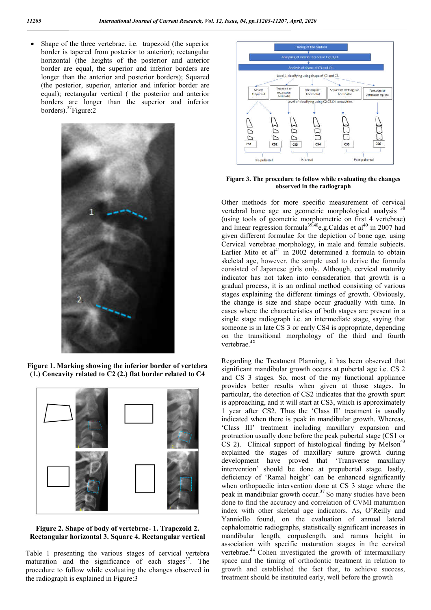Shape of the three vertebrae. i.e. trapezoid (the superior border is tapered from posterior to anterior); rectangular horizontal (the heights of the posterior and anterior border are equal, the superior and inferior borders are longer than the anterior and posterior borders); Squared (the posterior, superior, anterior and inferior border are equal); rectangular vertical ( the posterior and anterior borders are longer than the superior and inferior borders).<sup>37</sup>Figure:2



**Figure 1. Marking showing the inferior border of vertebra (1.) Concavity related to C2 (2.) flat border related to C4**



**Figure 2. Shape of body of vertebrae- 1. Trapezoid 2. Rectangular horizontal 3. Square 4. Rectangular vertical**

Table 1 presenting the various stages of cervical vertebra maturation and the significance of each stages $37$ . The procedure to follow while evaluating the changes observed in the radiograph is explained in Figure:3



### **Figure 3. The procedure to follow while evaluating the changes observed in the radiograph**

Other methods for more specific measurement of cervical vertebral bone age are geometric morphological analysis <sup>38</sup> (using tools of geometric morphometric on first 4 vertebrae) and linear regression formula<sup>39,40</sup>e.g.Caldas et al<sup>40</sup> in 2007 had given different formulae for the depiction of bone age, using Cervical vertebrae morphology, in male and female subjects. Earlier Mito et al<sup>41</sup> in 2002 determined a formula to obtain skeletal age, however, the sample used to derive the formula consisted of Japanese girls only. Although, cervical maturity indicator has not taken into consideration that growth is a gradual process, it is an ordinal method consisting of various stages explaining the different timings of growth. Obviously, the change is size and shape occur gradually with time. In cases where the characteristics of both stages are present in a single stage radiograph i.e. an intermediate stage, saying that someone is in late CS 3 or early CS4 is appropriate, depending on the transitional morphology of the third and fourth vertebrae.**<sup>42</sup>**

Regarding the Treatment Planning, it has been observed that significant mandibular growth occurs at pubertal age i.e. CS 2 and CS 3 stages. So, most of the my functional appliance provides better results when given at those stages. In particular, the detection of CS2 indicates that the growth spurt is approaching, and it will start at CS3, which is approximately 1 year after CS2. Thus the 'Class II' treatment is usually indicated when there is peak in mandibular growth. Whereas, 'Class III' treatment including maxillary expansion and protraction usually done before the peak pubertal stage (CS1 or  $CS$  2). Clinical support of histological finding by Melson<sup>43</sup> explained the stages of maxillary suture growth during development have proved that 'Transverse maxillary intervention' should be done at prepubertal stage. lastly, deficiency of 'Ramal height' can be enhanced significantly when orthopaedic intervention done at CS 3 stage where the peak in mandibular growth occur.<sup>37</sup> So many studies have been done to find the accuracy and correlation of CVMI maturation index with other skeletal age indicators. As**,** O'Reilly and Yanniello found, on the evaluation of annual lateral cephalometric radiographs, statistically significant increases in mandibular length, corpuslength, and ramus height in association with specific maturation stages in the cervical vertebrae.<sup>44</sup> Cohen investigated the growth of intermaxillary space and the timing of orthodontic treatment in relation to growth and established the fact that, to achieve success, treatment should be instituted early, well before the growth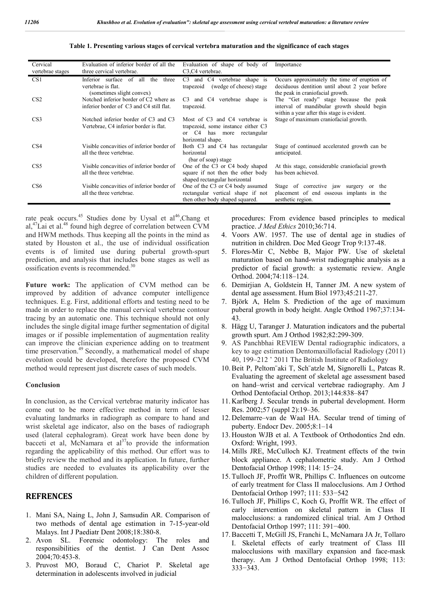| Cervical         | Evaluation of inferior border of all the                                                | Evaluation of shape of body of                                                                                             | Importance                                                                                                                         |
|------------------|-----------------------------------------------------------------------------------------|----------------------------------------------------------------------------------------------------------------------------|------------------------------------------------------------------------------------------------------------------------------------|
| vertebrae stages | three cervical vertebrae.                                                               | C <sub>3</sub> , C <sub>4</sub> vertebrae.                                                                                 |                                                                                                                                    |
| CS <sub>1</sub>  | Inferior surface of all the<br>three<br>vertebrae is flat.<br>(sometimes slight convex) | C4 vertebrae shape is<br>C <sub>3</sub><br>and<br>(wedge of cheese) stage<br>trapezoid                                     | Occurs approximately the time of eruption of<br>deciduous dentition until about 2 year before<br>the peak in craniofacial growth.  |
| CS <sub>2</sub>  | Notched inferior border of C2 where as<br>inferior border of C3 and C4 still flat.      | and C4 vertebrae shape is<br>C <sub>3</sub><br>trapezoid.                                                                  | The "Get ready" stage because the peak<br>interval of mandibular growth should begin<br>within a year after this stage is evident. |
| CS <sub>3</sub>  | Notched inferior border of C3 and C3<br>Vertebrae, C4 inferior border is flat.          | Most of C3 and C4 vertebrae is<br>trapezoid, some instance either C3<br>or C4 has more<br>rectangular<br>horizontal shape. | Stage of maximum craniofacial growth.                                                                                              |
| CS4              | Visible concavities of inferior border of<br>all the three vertebrae.                   | Both C3 and C4 has rectangular<br>horizontal<br>(bar of soap) stage                                                        | Stage of continued accelerated growth can be<br>anticipated.                                                                       |
| CS <sub>5</sub>  | Visible concavities of inferior border of<br>all the three vertebrae.                   | One of the C3 or C4 body shaped<br>square if not then the other body<br>shaped rectangular horizontal                      | At this stage, considerable craniofacial growth<br>has been achieved.                                                              |
| CS <sub>6</sub>  | Visible concavities of inferior border of<br>all the three vertebrae.                   | One of the C3 or C4 body assumed<br>rectangular vertical shape if not<br>then other body shaped squared.                   | Stage of corrective jaw surgery or the<br>placement of end osseous implants in the<br>aesthetic region.                            |

#### **Table 1. Presenting various stages of cervical vertebra maturation and the significance of each stages**

rate peak occurs.<sup>45</sup> Studies done by Uysal et al<sup>46</sup>, Chang et al, ${}^{47}$ Lai et al.<sup>48</sup> found high degree of correlation between CVM and HWM methods. Thus keeping all the points in the mind as stated by Houston et al., the use of individual ossification events is of limited use during pubertal growth-spurt prediction, and analysis that includes bone stages as well as ossification events is recommended.<sup>30</sup>

**Future work:** The application of CVM method can be improved by addition of advance computer intelligence techniques. E.g. First, additional efforts and testing need to be made in order to replace the manual cervical vertebrae contour tracing by an automatic one. This technique should not only includes the single digital image further segmentation of digital images or if possible implementation of augmentation reality can improve the clinician experience adding on to treatment time preservation.<sup>49</sup> Secondly, a mathematical model of shape evolution could be developed, therefore the proposed CVM method would represent just discrete cases of such models.

### **Conclusion**

In conclusion, as the Cervical vertebrae maturity indicator has come out to be more effective method in term of lesser evaluating landmarks in radiograph as compare to hand and wrist skeletal age indicator, also on the bases of radiograph used (lateral cephalogram). Great work have been done by bacceti et al, McNamara et al $37$ to provide the information regarding the applicability of this method. Our effort was to briefly review the method and its application. In future, further studies are needed to evaluates its applicability over the children of different population.

## **REFRENCES**

- 1. Mani SA, Naing L, John J, Samsudin AR. Comparison of two methods of dental age estimation in 7-15-year-old Malays. Int J Paediatr Dent 2008;18:380-8.
- 2. Avon SL. Forensic odontology: The roles and responsibilities of the dentist. J Can Dent Assoc 2004;70:453-8.
- 3. Pruvost MO, Boraud C, Chariot P. Skeletal age determination in adolescents involved in judicial

procedures: From evidence based principles to medical practice. *J Med Ethics* 2010;36:714.

- 4. Voors AW. 1957. The use of dental age in studies of nutrition in children. Doc Med Geogr Trop 9:137-48.
- 5. Flores-Mir C, Nebbe B, Major PW. Use of skeletal maturation based on hand-wrist radiographic analysis as a predictor of facial growth: a systematic review. Angle Orthod. 2004;74:118–124.
- 6. Demirjian A, Goldstein H, Tanner JM. A new system of dental age assessment. Hum Biol 1973;45:211-27.
- 7. Björk A, Helm S. Prediction of the age of maximum puberal growth in body height. Angle Orthod 1967;37:134- 43.
- 8. Hägg U, Taranger J. Maturation indicators and the pubertal growth spurt. Am J Orthod 1982;82:299-309.
- 9. AS Panchbhai REVIEW Dental radiographic indicators, a key to age estimation Dentomaxillofacial Radiology (2011) 40, 199–212 ' 2011 The British Institute of Radiology
- 10.Beit P, Peltom¨aki T, Sch¨atzle M, Signorelli L, Patcas R. Evaluating the agreement of skeletal age assessment based on hand–wrist and cervical vertebrae radiography. Am J Orthod Dentofacial Orthop. 2013;144:838–847
- 11. Karlberg J. Secular trends in pubertal development. Horm Res. 2002;57 (suppl 2):19–36.
- 12. Delemarre–van de Waal HA. Secular trend of timing of puberty. Endocr Dev. 2005;8:1–14
- 13. Houston WJB et al. A Textbook of Orthodontics 2nd edn. Oxford: Wright, 1993.
- 14. Mills JRE, McCulloch KJ. Treatment effects of the twin block appliance. A cephalometric study. Am J Orthod Dentofacial Orthop 1998; 114: 15−24.
- 15. Tulloch JF, Proffit WR, Phillips C. Influences on outcome of early treatment for Class II malocclusions. Am J Orthod Dentofacial Orthop 1997; 111: 533−542
- 16. Tulloch JF, Phillips C, Koch G, Proffit WR. The effect of early intervention on skeletal pattern in Class II malocclusions: a randomized clinical trial. Am J Orthod Dentofacial Orthop 1997; 111: 391−400.
- 17.Baccetti T, McGill JS, Franchi L, McNamara JA Jr, Tollaro I. Skeletal effects of early treatment of Class III malocclusions with maxillary expansion and face-mask therapy. Am J Orthod Dentofacial Orthop 1998; 113: 333−343.